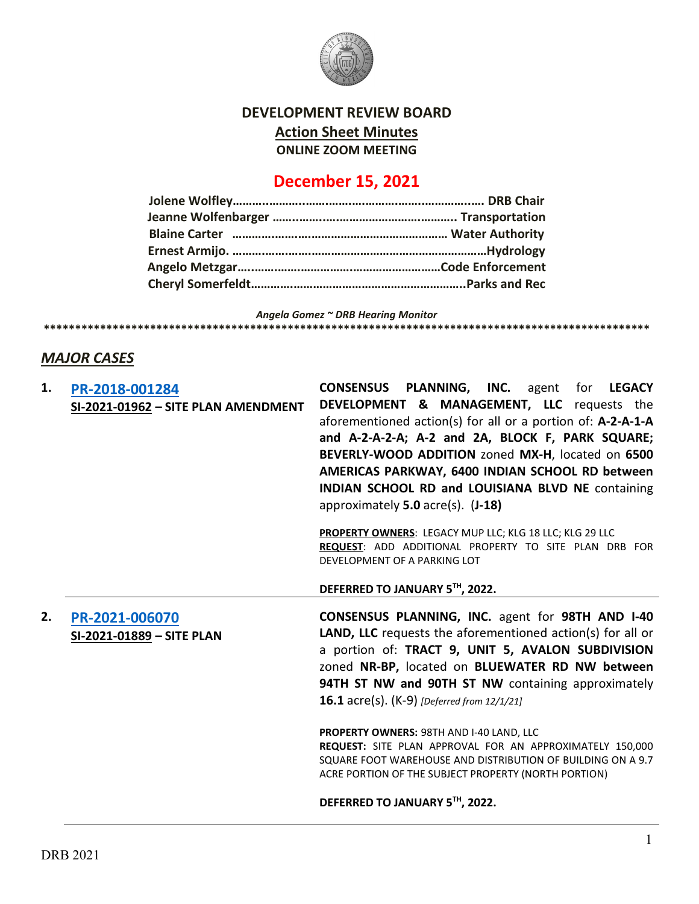

## **DEVELOPMENT REVIEW BOARD Action Sheet Minutes ONLINE ZOOM MEETING**

# **December 15, 2021**

*Angela Gomez ~ DRB Hearing Monitor* **\*\*\*\*\*\*\*\*\*\*\*\*\*\*\*\*\*\*\*\*\*\*\*\*\*\*\*\*\*\*\*\*\*\*\*\*\*\*\*\*\*\*\*\*\*\*\*\*\*\*\*\*\*\*\*\*\*\*\*\*\*\*\*\*\*\*\*\*\*\*\*\*\*\*\*\*\*\*\*\*\*\*\*\*\*\*\*\*\*\*\*\*\*\*\*\*\***

## *MAJOR CASES*

| 1. | PR-2018-001284                      | <b>CONSENSUS PLANNING, INC.</b> agent for LEGACY                                                                        |
|----|-------------------------------------|-------------------------------------------------------------------------------------------------------------------------|
|    | SI-2021-01962 - SITE PLAN AMENDMENT | DEVELOPMENT & MANAGEMENT, LLC requests the                                                                              |
|    |                                     | aforementioned action(s) for all or a portion of: A-2-A-1-A                                                             |
|    |                                     | and A-2-A-2-A; A-2 and 2A, BLOCK F, PARK SQUARE;                                                                        |
|    |                                     | BEVERLY-WOOD ADDITION zoned MX-H, located on 6500                                                                       |
|    |                                     | AMERICAS PARKWAY, 6400 INDIAN SCHOOL RD between                                                                         |
|    |                                     | INDIAN SCHOOL RD and LOUISIANA BLVD NE containing                                                                       |
|    |                                     | approximately $5.0$ acre(s). $(J-18)$                                                                                   |
|    |                                     |                                                                                                                         |
|    |                                     | PROPERTY OWNERS: LEGACY MUP LLC; KLG 18 LLC; KLG 29 LLC                                                                 |
|    |                                     | REQUEST: ADD ADDITIONAL PROPERTY TO SITE PLAN DRB FOR                                                                   |
|    |                                     | DEVELOPMENT OF A PARKING LOT                                                                                            |
|    |                                     |                                                                                                                         |
|    |                                     | DEFERRED TO JANUARY 5TH, 2022.                                                                                          |
|    |                                     |                                                                                                                         |
| 2. |                                     |                                                                                                                         |
|    | PR-2021-006070                      | <b>CONSENSUS PLANNING, INC. agent for 98TH AND I-40</b>                                                                 |
|    | SI-2021-01889 - SITE PLAN           | <b>LAND, LLC</b> requests the aforementioned action(s) for all or                                                       |
|    |                                     | a portion of: TRACT 9, UNIT 5, AVALON SUBDIVISION                                                                       |
|    |                                     | zoned NR-BP, located on BLUEWATER RD NW between                                                                         |
|    |                                     | 94TH ST NW and 90TH ST NW containing approximately                                                                      |
|    |                                     | <b>16.1</b> acre(s). (K-9) [Deferred from 12/1/21]                                                                      |
|    |                                     |                                                                                                                         |
|    |                                     | PROPERTY OWNERS: 98TH AND I-40 LAND, LLC                                                                                |
|    |                                     | REQUEST: SITE PLAN APPROVAL FOR AN APPROXIMATELY 150,000<br>SQUARE FOOT WAREHOUSE AND DISTRIBUTION OF BUILDING ON A 9.7 |
|    |                                     | ACRE PORTION OF THE SUBJECT PROPERTY (NORTH PORTION)                                                                    |
|    |                                     | DEFERRED TO JANUARY 5TH, 2022.                                                                                          |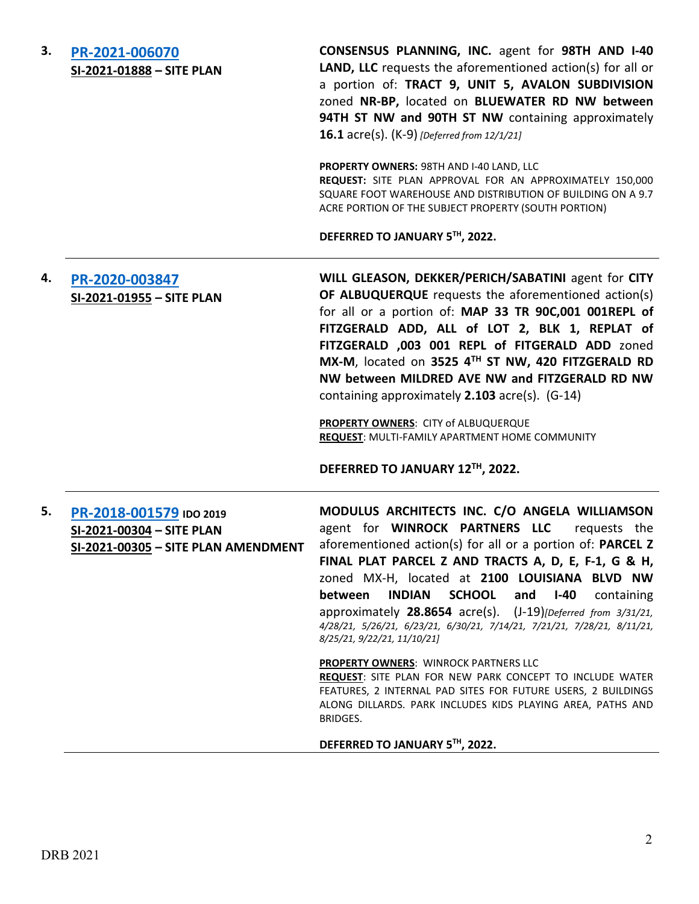| 3. | PR-2021-006070            |
|----|---------------------------|
|    | SI-2021-01888 - SITE PLAN |

**CONSENSUS PLANNING, INC.** agent for **98TH AND I-40 LAND, LLC** requests the aforementioned action(s) for all or a portion of: **TRACT 9, UNIT 5, AVALON SUBDIVISION**  zoned **NR-BP,** located on **BLUEWATER RD NW between 94TH ST NW and 90TH ST NW** containing approximately **16.1** acre(s). (K-9) *[Deferred from 12/1/21]*

**PROPERTY OWNERS:** 98TH AND I-40 LAND, LLC **REQUEST:** SITE PLAN APPROVAL FOR AN APPROXIMATELY 150,000 SQUARE FOOT WAREHOUSE AND DISTRIBUTION OF BUILDING ON A 9.7 ACRE PORTION OF THE SUBJECT PROPERTY (SOUTH PORTION)

#### **DEFERRED TO JANUARY 5TH, 2022.**

**4. [PR-2020-003847](http://data.cabq.gov/government/planning/DRB/PR-2020-003847/DRB%20Submittals/PR-2020-003847%20(SI-2021-01955)_DEC_15_2021%20(Site%20Plan)/Application%20Compiled.pdf) SI-2021-01955 – SITE PLAN WILL GLEASON, DEKKER/PERICH/SABATINI** agent for **CITY OF ALBUQUERQUE** requests the aforementioned action(s) for all or a portion of: **MAP 33 TR 90C,001 001REPL of FITZGERALD ADD, ALL of LOT 2, BLK 1, REPLAT of FITZGERALD ,003 001 REPL of FITGERALD ADD** zoned **MX-M**, located on **3525 4TH ST NW, 420 FITZGERALD RD NW between MILDRED AVE NW and FITZGERALD RD NW**  containing approximately **2.103** acre(s). (G-14)

> **PROPERTY OWNERS**: CITY of ALBUQUERQUE **REQUEST**: MULTI-FAMILY APARTMENT HOME COMMUNITY

#### **DEFERRED TO JANUARY 12TH, 2022.**

**5. [PR-2018-001579](http://data.cabq.gov/government/planning/DRB/PR-2018-001579/DRB%20Submittals/) IDO 2019 SI-2021-00304 – SITE PLAN SI-2021-00305 – SITE PLAN AMENDMENT MODULUS ARCHITECTS INC. C/O ANGELA WILLIAMSON**  agent for **WINROCK PARTNERS LLC** requests the aforementioned action(s) for all or a portion of: **PARCEL Z FINAL PLAT PARCEL Z AND TRACTS A, D, E, F-1, G & H,**  zoned MX-H, located at **2100 LOUISIANA BLVD NW between INDIAN SCHOOL and I-40** containing approximately **28.8654** acre(s). (J-19)*[Deferred from 3/31/21, 4/28/21, 5/26/21, 6/23/21, 6/30/21, 7/14/21, 7/21/21, 7/28/21, 8/11/21, 8/25/21, 9/22/21, 11/10/21]* **PROPERTY OWNERS**: WINROCK PARTNERS LLC **REQUEST**: SITE PLAN FOR NEW PARK CONCEPT TO INCLUDE WATER FEATURES, 2 INTERNAL PAD SITES FOR FUTURE USERS, 2 BUILDINGS ALONG DILLARDS. PARK INCLUDES KIDS PLAYING AREA, PATHS AND BRIDGES.

**DEFERRED TO JANUARY 5TH, 2022.**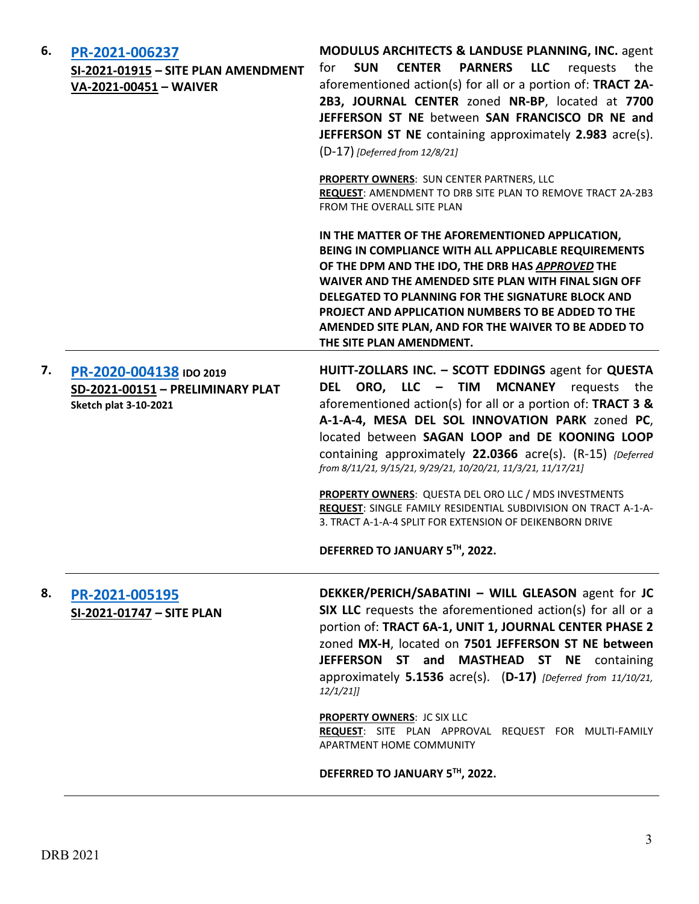| 6. | PR-2021-006237<br>SI-2021-01915 - SITE PLAN AMENDMENT<br>VA-2021-00451 - WAIVER             | <b>MODULUS ARCHITECTS &amp; LANDUSE PLANNING, INC. agent</b><br><b>PARNERS</b><br><b>LLC</b><br><b>SUN</b><br><b>CENTER</b><br>requests<br>for<br>the<br>aforementioned action(s) for all or a portion of: TRACT 2A-<br>2B3, JOURNAL CENTER zoned NR-BP, located at 7700<br>JEFFERSON ST NE between SAN FRANCISCO DR NE and<br>JEFFERSON ST NE containing approximately 2.983 acre(s).<br>$(D-17)$ [Deferred from 12/8/21] |
|----|---------------------------------------------------------------------------------------------|----------------------------------------------------------------------------------------------------------------------------------------------------------------------------------------------------------------------------------------------------------------------------------------------------------------------------------------------------------------------------------------------------------------------------|
|    |                                                                                             | PROPERTY OWNERS: SUN CENTER PARTNERS, LLC<br>REQUEST: AMENDMENT TO DRB SITE PLAN TO REMOVE TRACT 2A-2B3<br>FROM THE OVERALL SITE PLAN                                                                                                                                                                                                                                                                                      |
|    |                                                                                             | IN THE MATTER OF THE AFOREMENTIONED APPLICATION,<br>BEING IN COMPLIANCE WITH ALL APPLICABLE REQUIREMENTS<br>OF THE DPM AND THE IDO, THE DRB HAS APPROVED THE<br>WAIVER AND THE AMENDED SITE PLAN WITH FINAL SIGN OFF<br>DELEGATED TO PLANNING FOR THE SIGNATURE BLOCK AND<br>PROJECT AND APPLICATION NUMBERS TO BE ADDED TO THE<br>AMENDED SITE PLAN, AND FOR THE WAIVER TO BE ADDED TO<br>THE SITE PLAN AMENDMENT.        |
| 7. | PR-2020-004138 IDO 2019<br>SD-2021-00151 - PRELIMINARY PLAT<br><b>Sketch plat 3-10-2021</b> | HUITT-ZOLLARS INC. - SCOTT EDDINGS agent for QUESTA<br>DEL ORO, LLC - TIM MCNANEY requests the<br>aforementioned action(s) for all or a portion of: TRACT 3 &<br>A-1-A-4, MESA DEL SOL INNOVATION PARK zoned PC,<br>located between SAGAN LOOP and DE KOONING LOOP<br>containing approximately 22.0366 acre(s). (R-15) {Deferred<br>from 8/11/21, 9/15/21, 9/29/21, 10/20/21, 11/3/21, 11/17/21]                           |
|    |                                                                                             | PROPERTY OWNERS: QUESTA DEL ORO LLC / MDS INVESTMENTS<br>REQUEST: SINGLE FAMILY RESIDENTIAL SUBDIVISION ON TRACT A-1-A-<br>3. TRACT A-1-A-4 SPLIT FOR EXTENSION OF DEIKENBORN DRIVE                                                                                                                                                                                                                                        |
|    |                                                                                             | DEFERRED TO JANUARY 5TH, 2022.                                                                                                                                                                                                                                                                                                                                                                                             |
| 8. | PR-2021-005195<br>SI-2021-01747 - SITE PLAN                                                 | DEKKER/PERICH/SABATINI - WILL GLEASON agent for JC<br>SIX LLC requests the aforementioned action(s) for all or a<br>portion of: TRACT 6A-1, UNIT 1, JOURNAL CENTER PHASE 2<br>zoned MX-H, located on 7501 JEFFERSON ST NE between<br>JEFFERSON ST and MASTHEAD ST NE containing<br>approximately 5.1536 acre(s). (D-17) [Deferred from 11/10/21,<br>$12/1/21$ ]                                                            |
|    |                                                                                             | <b>PROPERTY OWNERS: JC SIX LLC</b><br>REQUEST: SITE PLAN APPROVAL REQUEST FOR MULTI-FAMILY<br>APARTMENT HOME COMMUNITY                                                                                                                                                                                                                                                                                                     |
|    |                                                                                             | DEFERRED TO JANUARY 5TH, 2022.                                                                                                                                                                                                                                                                                                                                                                                             |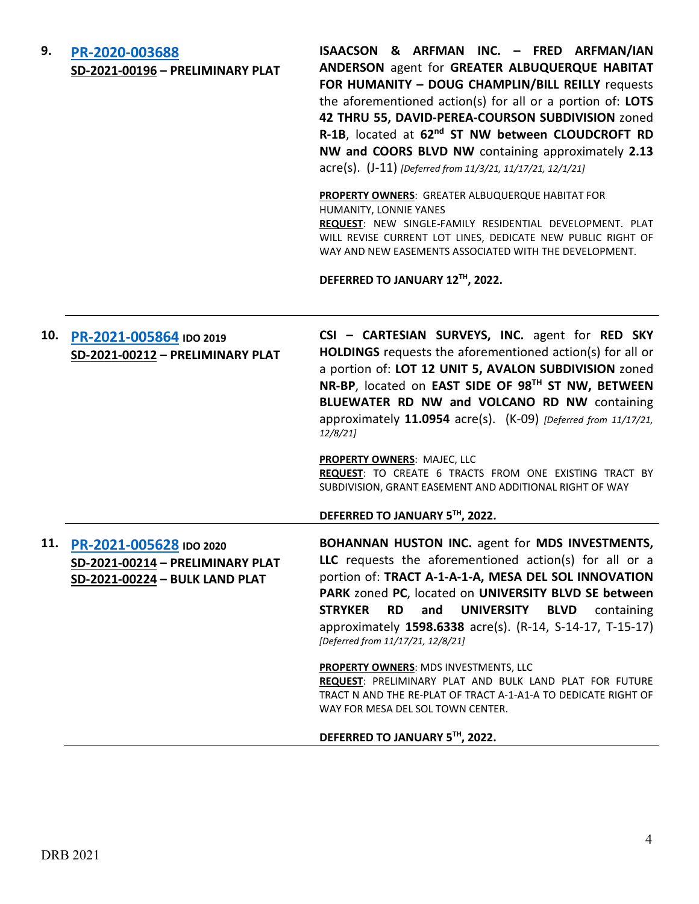| 9.  | PR-2020-003688<br>SD-2021-00196 - PRELIMINARY PLAT                                                | ISAACSON & ARFMAN INC. - FRED ARFMAN/IAN<br>ANDERSON agent for GREATER ALBUQUERQUE HABITAT<br>FOR HUMANITY - DOUG CHAMPLIN/BILL REILLY requests<br>the aforementioned action(s) for all or a portion of: LOTS<br>42 THRU 55, DAVID-PEREA-COURSON SUBDIVISION zoned<br>R-1B, located at 62nd ST NW between CLOUDCROFT RD<br>NW and COORS BLVD NW containing approximately 2.13<br>acre(s). (J-11) [Deferred from 11/3/21, 11/17/21, 12/1/21]<br>PROPERTY OWNERS: GREATER ALBUQUERQUE HABITAT FOR<br>HUMANITY, LONNIE YANES<br>REQUEST: NEW SINGLE-FAMILY RESIDENTIAL DEVELOPMENT. PLAT<br>WILL REVISE CURRENT LOT LINES, DEDICATE NEW PUBLIC RIGHT OF<br>WAY AND NEW EASEMENTS ASSOCIATED WITH THE DEVELOPMENT.<br>DEFERRED TO JANUARY 12TH, 2022. |
|-----|---------------------------------------------------------------------------------------------------|---------------------------------------------------------------------------------------------------------------------------------------------------------------------------------------------------------------------------------------------------------------------------------------------------------------------------------------------------------------------------------------------------------------------------------------------------------------------------------------------------------------------------------------------------------------------------------------------------------------------------------------------------------------------------------------------------------------------------------------------------|
| 10. | PR-2021-005864 IDO 2019<br>SD-2021-00212 - PRELIMINARY PLAT                                       | CSI - CARTESIAN SURVEYS, INC. agent for RED SKY<br>HOLDINGS requests the aforementioned action(s) for all or<br>a portion of: LOT 12 UNIT 5, AVALON SUBDIVISION zoned<br>NR-BP, located on EAST SIDE OF 98TH ST NW, BETWEEN<br>BLUEWATER RD NW and VOLCANO RD NW containing<br>approximately 11.0954 acre(s). (K-09) [Deferred from 11/17/21,<br>12/8/21<br>PROPERTY OWNERS: MAJEC, LLC<br>REQUEST: TO CREATE 6 TRACTS FROM ONE EXISTING TRACT BY<br>SUBDIVISION, GRANT EASEMENT AND ADDITIONAL RIGHT OF WAY<br>DEFERRED TO JANUARY 5TH, 2022.                                                                                                                                                                                                    |
|     | 11. PR-2021-005628 IDO 2020<br>SD-2021-00214 - PRELIMINARY PLAT<br>SD-2021-00224 - BULK LAND PLAT | <b>BOHANNAN HUSTON INC. agent for MDS INVESTMENTS,</b><br>LLC requests the aforementioned action(s) for all or a<br>portion of: TRACT A-1-A-1-A, MESA DEL SOL INNOVATION<br>PARK zoned PC, located on UNIVERSITY BLVD SE between<br><b>STRYKER</b><br><b>RD</b><br>and<br><b>UNIVERSITY</b><br><b>BLVD</b><br>containing<br>approximately 1598.6338 acre(s). (R-14, S-14-17, T-15-17)<br>[Deferred from 11/17/21, 12/8/21]<br>PROPERTY OWNERS: MDS INVESTMENTS, LLC<br>REQUEST: PRELIMINARY PLAT AND BULK LAND PLAT FOR FUTURE<br>TRACT N AND THE RE-PLAT OF TRACT A-1-A1-A TO DEDICATE RIGHT OF<br>WAY FOR MESA DEL SOL TOWN CENTER.<br>DEFERRED TO JANUARY 5TH, 2022.                                                                           |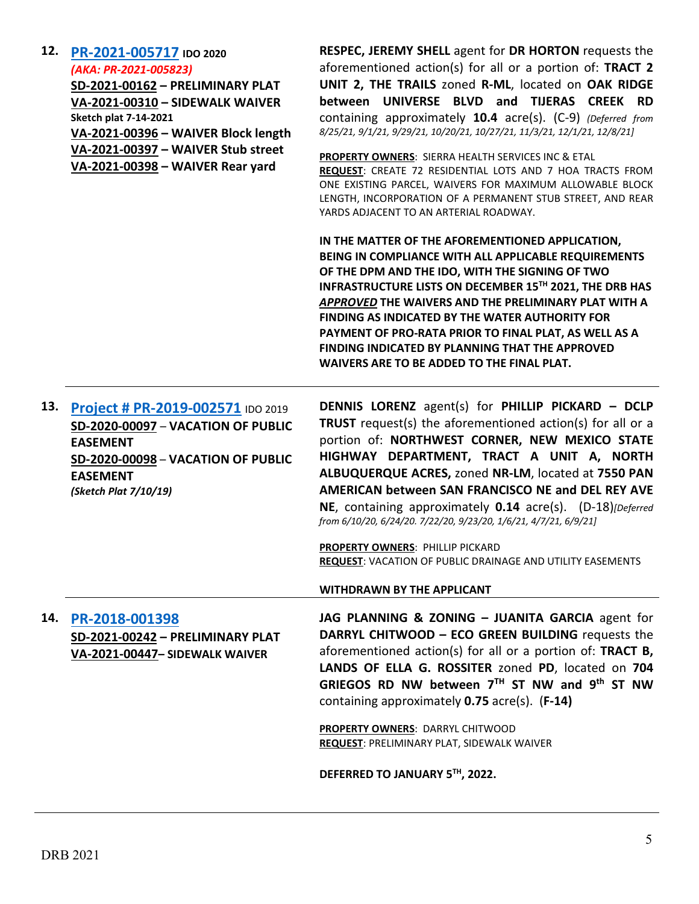| 12. | PR-2021-005717 IDO 2020<br>(AKA: PR-2021-005823)<br>SD-2021-00162 - PRELIMINARY PLAT<br>VA-2021-00310 - SIDEWALK WAIVER<br><b>Sketch plat 7-14-2021</b><br>VA-2021-00396 - WAIVER Block length<br>VA-2021-00397 - WAIVER Stub street<br>VA-2021-00398 - WAIVER Rear yard | <b>RESPEC, JEREMY SHELL agent for DR HORTON requests the</b><br>aforementioned action(s) for all or a portion of: TRACT 2<br>UNIT 2, THE TRAILS zoned R-ML, located on OAK RIDGE<br>between UNIVERSE BLVD and TIJERAS CREEK RD<br>containing approximately 10.4 acre(s). (C-9) (Deferred from<br>8/25/21, 9/1/21, 9/29/21, 10/20/21, 10/27/21, 11/3/21, 12/1/21, 12/8/21]<br>PROPERTY OWNERS: SIERRA HEALTH SERVICES INC & ETAL<br>REQUEST: CREATE 72 RESIDENTIAL LOTS AND 7 HOA TRACTS FROM<br>ONE EXISTING PARCEL, WAIVERS FOR MAXIMUM ALLOWABLE BLOCK<br>LENGTH, INCORPORATION OF A PERMANENT STUB STREET, AND REAR<br>YARDS ADJACENT TO AN ARTERIAL ROADWAY.<br>IN THE MATTER OF THE AFOREMENTIONED APPLICATION,<br>BEING IN COMPLIANCE WITH ALL APPLICABLE REQUIREMENTS<br>OF THE DPM AND THE IDO, WITH THE SIGNING OF TWO<br>INFRASTRUCTURE LISTS ON DECEMBER 15TH 2021, THE DRB HAS<br>APPROVED THE WAIVERS AND THE PRELIMINARY PLAT WITH A |
|-----|--------------------------------------------------------------------------------------------------------------------------------------------------------------------------------------------------------------------------------------------------------------------------|----------------------------------------------------------------------------------------------------------------------------------------------------------------------------------------------------------------------------------------------------------------------------------------------------------------------------------------------------------------------------------------------------------------------------------------------------------------------------------------------------------------------------------------------------------------------------------------------------------------------------------------------------------------------------------------------------------------------------------------------------------------------------------------------------------------------------------------------------------------------------------------------------------------------------------------------------|
|     |                                                                                                                                                                                                                                                                          | <b>FINDING AS INDICATED BY THE WATER AUTHORITY FOR</b><br>PAYMENT OF PRO-RATA PRIOR TO FINAL PLAT, AS WELL AS A<br><b>FINDING INDICATED BY PLANNING THAT THE APPROVED</b><br>WAIVERS ARE TO BE ADDED TO THE FINAL PLAT.                                                                                                                                                                                                                                                                                                                                                                                                                                                                                                                                                                                                                                                                                                                            |
| 13. | Project # PR-2019-002571 IDO 2019<br>SD-2020-00097 - VACATION OF PUBLIC<br><b>EASEMENT</b><br>SD-2020-00098 - VACATION OF PUBLIC<br><b>EASEMENT</b><br>(Sketch Plat 7/10/19)                                                                                             | <b>DENNIS LORENZ</b> agent(s) for PHILLIP PICKARD - DCLP<br>TRUST request(s) the aforementioned action(s) for all or a<br>portion of: NORTHWEST CORNER, NEW MEXICO STATE<br>HIGHWAY DEPARTMENT, TRACT A UNIT A, NORTH<br>ALBUQUERQUE ACRES, zoned NR-LM, located at 7550 PAN<br>AMERICAN between SAN FRANCISCO NE and DEL REY AVE<br>NE, containing approximately 0.14 acre(s). (D-18)[Deferred<br>from 6/10/20, 6/24/20. 7/22/20, 9/23/20, 1/6/21, 4/7/21, 6/9/21]                                                                                                                                                                                                                                                                                                                                                                                                                                                                                |
|     |                                                                                                                                                                                                                                                                          | PROPERTY OWNERS: PHILLIP PICKARD<br><b>REQUEST: VACATION OF PUBLIC DRAINAGE AND UTILITY EASEMENTS</b><br><b>WITHDRAWN BY THE APPLICANT</b>                                                                                                                                                                                                                                                                                                                                                                                                                                                                                                                                                                                                                                                                                                                                                                                                         |
| 14. | PR-2018-001398<br>SD-2021-00242 - PRELIMINARY PLAT<br>VA-2021-00447- SIDEWALK WAIVER                                                                                                                                                                                     | JAG PLANNING & ZONING - JUANITA GARCIA agent for<br>DARRYL CHITWOOD - ECO GREEN BUILDING requests the<br>aforementioned action(s) for all or a portion of: TRACT B,<br>LANDS OF ELLA G. ROSSITER zoned PD, located on 704<br>GRIEGOS RD NW between $7TH$ ST NW and 9 <sup>th</sup> ST NW<br>containing approximately 0.75 acre(s). (F-14)                                                                                                                                                                                                                                                                                                                                                                                                                                                                                                                                                                                                          |
|     |                                                                                                                                                                                                                                                                          | PROPERTY OWNERS: DARRYL CHITWOOD<br>REQUEST: PRELIMINARY PLAT, SIDEWALK WAIVER<br>DEFERRED TO JANUARY 5TH, 2022.                                                                                                                                                                                                                                                                                                                                                                                                                                                                                                                                                                                                                                                                                                                                                                                                                                   |
|     |                                                                                                                                                                                                                                                                          |                                                                                                                                                                                                                                                                                                                                                                                                                                                                                                                                                                                                                                                                                                                                                                                                                                                                                                                                                    |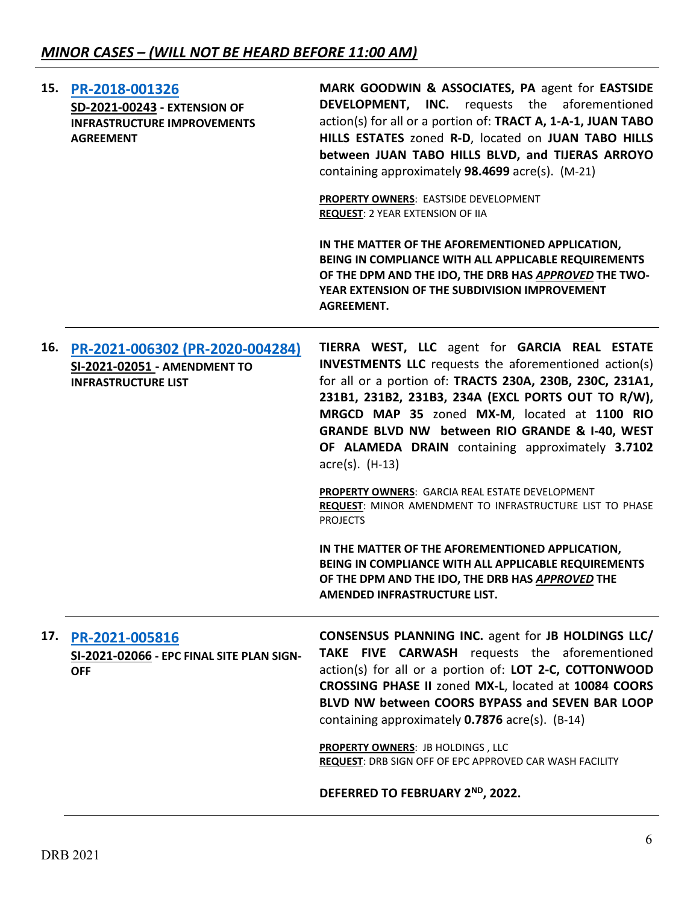| 15. | PR-2018-001326<br><b>SD-2021-00243 - EXTENSION OF</b><br><b>INFRASTRUCTURE IMPROVEMENTS</b><br><b>AGREEMENT</b> | MARK GOODWIN & ASSOCIATES, PA agent for EASTSIDE<br><b>DEVELOPMENT, INC.</b> requests the aforementioned<br>action(s) for all or a portion of: TRACT A, 1-A-1, JUAN TABO<br>HILLS ESTATES zoned R-D, located on JUAN TABO HILLS<br>between JUAN TABO HILLS BLVD, and TIJERAS ARROYO<br>containing approximately 98.4699 acre(s). (M-21)<br>PROPERTY OWNERS: EASTSIDE DEVELOPMENT<br><b>REQUEST: 2 YEAR EXTENSION OF IIA</b><br>IN THE MATTER OF THE AFOREMENTIONED APPLICATION,<br>BEING IN COMPLIANCE WITH ALL APPLICABLE REQUIREMENTS<br>OF THE DPM AND THE IDO, THE DRB HAS APPROVED THE TWO-<br>YEAR EXTENSION OF THE SUBDIVISION IMPROVEMENT<br><b>AGREEMENT.</b>                                                                           |
|-----|-----------------------------------------------------------------------------------------------------------------|--------------------------------------------------------------------------------------------------------------------------------------------------------------------------------------------------------------------------------------------------------------------------------------------------------------------------------------------------------------------------------------------------------------------------------------------------------------------------------------------------------------------------------------------------------------------------------------------------------------------------------------------------------------------------------------------------------------------------------------------------|
| 16. | PR-2021-006302 (PR-2020-004284)<br>SI-2021-02051 - AMENDMENT TO<br><b>INFRASTRUCTURE LIST</b>                   | TIERRA WEST, LLC agent for GARCIA REAL ESTATE<br><b>INVESTMENTS LLC</b> requests the aforementioned action(s)<br>for all or a portion of: TRACTS 230A, 230B, 230C, 231A1,<br>231B1, 231B2, 231B3, 234A (EXCL PORTS OUT TO R/W),<br>MRGCD MAP 35 zoned MX-M, located at 1100 RIO<br>GRANDE BLVD NW between RIO GRANDE & I-40, WEST<br>OF ALAMEDA DRAIN containing approximately 3.7102<br>$\arccos(5)$ . (H-13)<br>PROPERTY OWNERS: GARCIA REAL ESTATE DEVELOPMENT<br>REQUEST: MINOR AMENDMENT TO INFRASTRUCTURE LIST TO PHASE<br><b>PROJECTS</b><br>IN THE MATTER OF THE AFOREMENTIONED APPLICATION,<br>BEING IN COMPLIANCE WITH ALL APPLICABLE REQUIREMENTS<br>OF THE DPM AND THE IDO, THE DRB HAS APPROVED THE<br>AMENDED INFRASTRUCTURE LIST. |
| 17. | PR-2021-005816<br>SI-2021-02066 - EPC FINAL SITE PLAN SIGN-<br><b>OFF</b>                                       | <b>CONSENSUS PLANNING INC. agent for JB HOLDINGS LLC/</b><br>TAKE FIVE CARWASH requests the aforementioned<br>action(s) for all or a portion of: LOT 2-C, COTTONWOOD<br>CROSSING PHASE II zoned MX-L, located at 10084 COORS<br>BLVD NW between COORS BYPASS and SEVEN BAR LOOP<br>containing approximately 0.7876 acre(s). (B-14)<br><b>PROPERTY OWNERS: JB HOLDINGS, LLC</b><br><b>REQUEST: DRB SIGN OFF OF EPC APPROVED CAR WASH FACILITY</b><br>DEFERRED TO FEBRUARY 2ND, 2022.                                                                                                                                                                                                                                                              |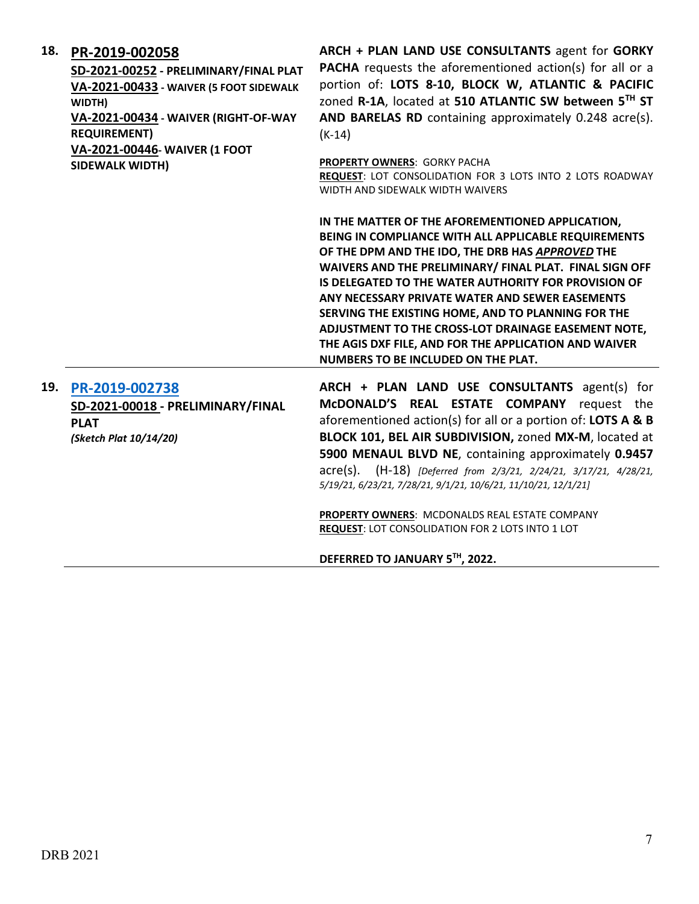| 18. | PR-2019-002058<br>SD-2021-00252 - PRELIMINARY/FINAL PLAT<br>VA-2021-00433 - WAIVER (5 FOOT SIDEWALK<br>WIDTH)<br>VA-2021-00434 - WAIVER (RIGHT-OF-WAY<br><b>REQUIREMENT)</b><br>VA-2021-00446- WAIVER (1 FOOT<br><b>SIDEWALK WIDTH)</b> | ARCH + PLAN LAND USE CONSULTANTS agent for GORKY<br>PACHA requests the aforementioned action(s) for all or a<br>portion of: LOTS 8-10, BLOCK W, ATLANTIC & PACIFIC<br>zoned R-1A, located at 510 ATLANTIC SW between 5TH ST<br>AND BARELAS RD containing approximately 0.248 acre(s).<br>$(K-14)$<br>PROPERTY OWNERS: GORKY PACHA<br>REQUEST: LOT CONSOLIDATION FOR 3 LOTS INTO 2 LOTS ROADWAY                                                                                                                                                                                      |
|-----|-----------------------------------------------------------------------------------------------------------------------------------------------------------------------------------------------------------------------------------------|-------------------------------------------------------------------------------------------------------------------------------------------------------------------------------------------------------------------------------------------------------------------------------------------------------------------------------------------------------------------------------------------------------------------------------------------------------------------------------------------------------------------------------------------------------------------------------------|
|     |                                                                                                                                                                                                                                         | WIDTH AND SIDEWALK WIDTH WAIVERS<br>IN THE MATTER OF THE AFOREMENTIONED APPLICATION,<br>BEING IN COMPLIANCE WITH ALL APPLICABLE REQUIREMENTS<br>OF THE DPM AND THE IDO, THE DRB HAS APPROVED THE<br>WAIVERS AND THE PRELIMINARY/ FINAL PLAT. FINAL SIGN OFF<br>IS DELEGATED TO THE WATER AUTHORITY FOR PROVISION OF<br>ANY NECESSARY PRIVATE WATER AND SEWER EASEMENTS<br>SERVING THE EXISTING HOME, AND TO PLANNING FOR THE<br>ADJUSTMENT TO THE CROSS-LOT DRAINAGE EASEMENT NOTE,<br>THE AGIS DXF FILE, AND FOR THE APPLICATION AND WAIVER<br>NUMBERS TO BE INCLUDED ON THE PLAT. |
| 19. | PR-2019-002738<br>SD-2021-00018 - PRELIMINARY/FINAL<br><b>PLAT</b><br>(Sketch Plat 10/14/20)                                                                                                                                            | ARCH + PLAN LAND USE CONSULTANTS agent(s) for<br>McDONALD'S REAL ESTATE COMPANY request the<br>aforementioned action(s) for all or a portion of: LOTS A & B<br>BLOCK 101, BEL AIR SUBDIVISION, zoned MX-M, located at<br>5900 MENAUL BLVD NE, containing approximately 0.9457<br>acre(s). (H-18) [Deferred from 2/3/21, 2/24/21, 3/17/21, 4/28/21,<br>5/19/21, 6/23/21, 7/28/21, 9/1/21, 10/6/21, 11/10/21, 12/1/21]<br>PROPERTY OWNERS: MCDONALDS REAL ESTATE COMPANY<br><b>REQUEST: LOT CONSOLIDATION FOR 2 LOTS INTO 1 LOT</b>                                                   |

**DEFERRED TO JANUARY 5TH, 2022.**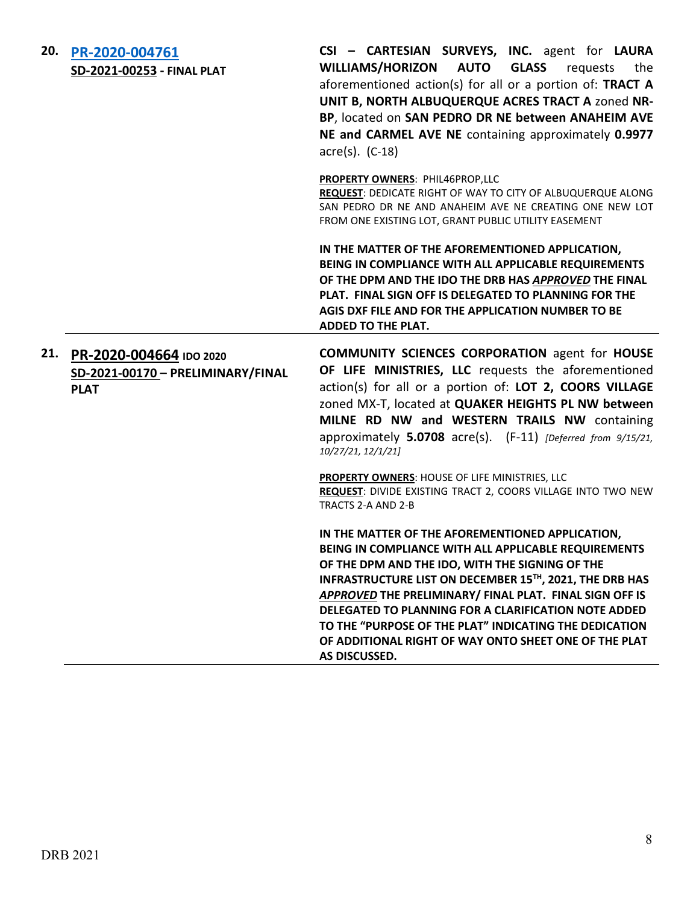| 20. | PR-2020-004761<br>SD-2021-00253 - FINAL PLAT                                    | CSI - CARTESIAN SURVEYS, INC. agent for LAURA<br>WILLIAMS/HORIZON AUTO<br><b>GLASS</b><br>requests<br>the<br>aforementioned action(s) for all or a portion of: TRACT A<br>UNIT B, NORTH ALBUQUERQUE ACRES TRACT A zoned NR-<br>BP, located on SAN PEDRO DR NE between ANAHEIM AVE<br>NE and CARMEL AVE NE containing approximately 0.9977<br>$\text{acre}(s)$ . (C-18)                                                                                                                                       |
|-----|---------------------------------------------------------------------------------|--------------------------------------------------------------------------------------------------------------------------------------------------------------------------------------------------------------------------------------------------------------------------------------------------------------------------------------------------------------------------------------------------------------------------------------------------------------------------------------------------------------|
|     |                                                                                 | PROPERTY OWNERS: PHIL46PROP,LLC<br>REQUEST: DEDICATE RIGHT OF WAY TO CITY OF ALBUQUERQUE ALONG<br>SAN PEDRO DR NE AND ANAHEIM AVE NE CREATING ONE NEW LOT<br>FROM ONE EXISTING LOT, GRANT PUBLIC UTILITY EASEMENT                                                                                                                                                                                                                                                                                            |
|     |                                                                                 | IN THE MATTER OF THE AFOREMENTIONED APPLICATION,<br>BEING IN COMPLIANCE WITH ALL APPLICABLE REQUIREMENTS<br>OF THE DPM AND THE IDO THE DRB HAS APPROVED THE FINAL<br>PLAT. FINAL SIGN OFF IS DELEGATED TO PLANNING FOR THE<br>AGIS DXF FILE AND FOR THE APPLICATION NUMBER TO BE<br><b>ADDED TO THE PLAT.</b>                                                                                                                                                                                                |
|     | 21. PR-2020-004664 IDO 2020<br>SD-2021-00170 - PRELIMINARY/FINAL<br><b>PLAT</b> | <b>COMMUNITY SCIENCES CORPORATION agent for HOUSE</b><br>OF LIFE MINISTRIES, LLC requests the aforementioned<br>action(s) for all or a portion of: LOT 2, COORS VILLAGE<br>zoned MX-T, located at QUAKER HEIGHTS PL NW between<br>MILNE RD NW and WESTERN TRAILS NW containing<br>approximately 5.0708 acre(s). (F-11) [Deferred from 9/15/21,<br>10/27/21, 12/1/21]<br>PROPERTY OWNERS: HOUSE OF LIFE MINISTRIES, LLC<br>REQUEST: DIVIDE EXISTING TRACT 2, COORS VILLAGE INTO TWO NEW<br>TRACTS 2-A AND 2-B |
|     |                                                                                 | IN THE MATTER OF THE AFOREMENTIONED APPLICATION,<br>BEING IN COMPLIANCE WITH ALL APPLICABLE REQUIREMENTS<br>OF THE DPM AND THE IDO, WITH THE SIGNING OF THE<br>INFRASTRUCTURE LIST ON DECEMBER 15TH, 2021, THE DRB HAS<br>APPROVED THE PRELIMINARY/ FINAL PLAT. FINAL SIGN OFF IS<br><b>DELEGATED TO PLANNING FOR A CLARIFICATION NOTE ADDED</b><br>TO THE "PURPOSE OF THE PLAT" INDICATING THE DEDICATION<br>OF ADDITIONAL RIGHT OF WAY ONTO SHEET ONE OF THE PLAT<br>AS DISCUSSED.                         |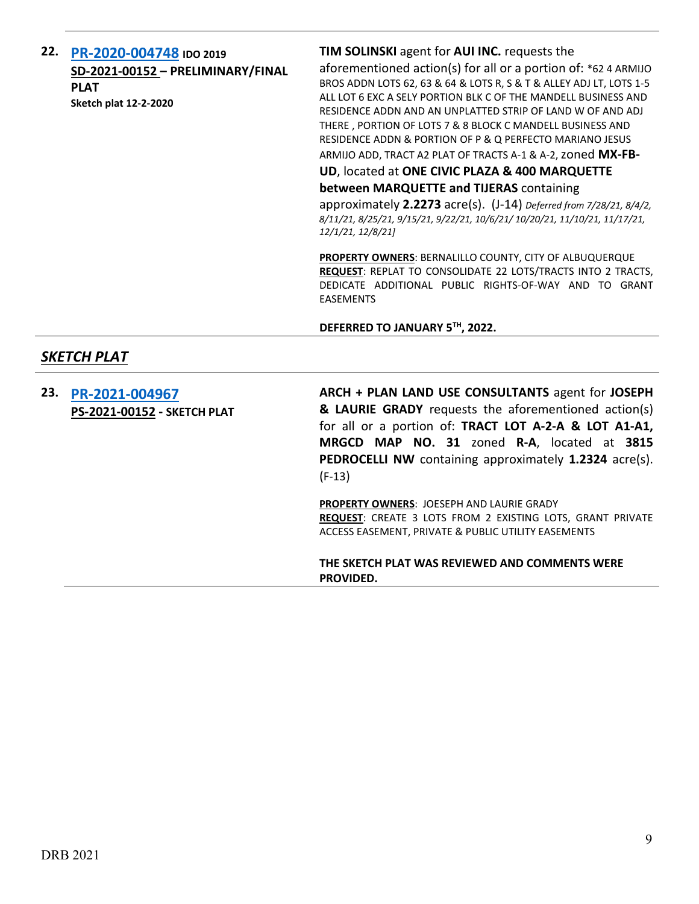| 22. PR-2020-004748 IDO 2019       |  |
|-----------------------------------|--|
| SD-2021-00152 - PRELIMINARY/FINAL |  |
| <b>PLAT</b>                       |  |
| <b>Sketch plat 12-2-2020</b>      |  |

### **TIM SOLINSKI** agent for **AUI INC.** requests the

aforementioned action(s) for all or a portion of: \*62 4 ARMIJO BROS ADDN LOTS 62, 63 & 64 & LOTS R, S & T & ALLEY ADJ LT, LOTS 1-5 ALL LOT 6 EXC A SELY PORTION BLK C OF THE MANDELL BUSINESS AND RESIDENCE ADDN AND AN UNPLATTED STRIP OF LAND W OF AND ADJ THERE , PORTION OF LOTS 7 & 8 BLOCK C MANDELL BUSINESS AND RESIDENCE ADDN & PORTION OF P & Q PERFECTO MARIANO JESUS ARMIJO ADD, TRACT A2 PLAT OF TRACTS A-1 & A-2,zoned **MX-FB-**

**UD**, located at **ONE CIVIC PLAZA & 400 MARQUETTE** 

**between MARQUETTE and TIJERAS** containing approximately **2.2273** acre(s). (J-14) *Deferred from 7/28/21, 8/4/2, 8/11/21, 8/25/21, 9/15/21, 9/22/21, 10/6/21/ 10/20/21, 11/10/21, 11/17/21, 12/1/21, 12/8/21]*

**PROPERTY OWNERS**: BERNALILLO COUNTY, CITY OF ALBUQUERQUE **REQUEST**: REPLAT TO CONSOLIDATE 22 LOTS/TRACTS INTO 2 TRACTS, DEDICATE ADDITIONAL PUBLIC RIGHTS-OF-WAY AND TO GRANT EASEMENTS

**DEFERRED TO JANUARY 5TH, 2022.**

## *SKETCH PLAT*

| 23. | PR-2021-004967<br>PS-2021-00152 - SKETCH PLAT | ARCH + PLAN LAND USE CONSULTANTS agent for JOSEPH<br>& LAURIE GRADY requests the aforementioned action(s)<br>for all or a portion of: TRACT LOT A-2-A & LOT A1-A1,<br>MRGCD MAP NO. 31 zoned R-A, located at 3815<br><b>PEDROCELLI NW</b> containing approximately 1.2324 acre(s).<br>$(F-13)$ |
|-----|-----------------------------------------------|------------------------------------------------------------------------------------------------------------------------------------------------------------------------------------------------------------------------------------------------------------------------------------------------|
|     |                                               | <b>PROPERTY OWNERS: JOESEPH AND LAURIE GRADY</b><br><b>REQUEST:</b> CREATE 3 LOTS FROM 2 EXISTING LOTS, GRANT PRIVATE<br>ACCESS EASEMENT, PRIVATE & PUBLIC UTILITY EASEMENTS                                                                                                                   |
|     |                                               | THE SKETCH PLAT WAS REVIEWED AND COMMENTS WERE<br>PROVIDED.                                                                                                                                                                                                                                    |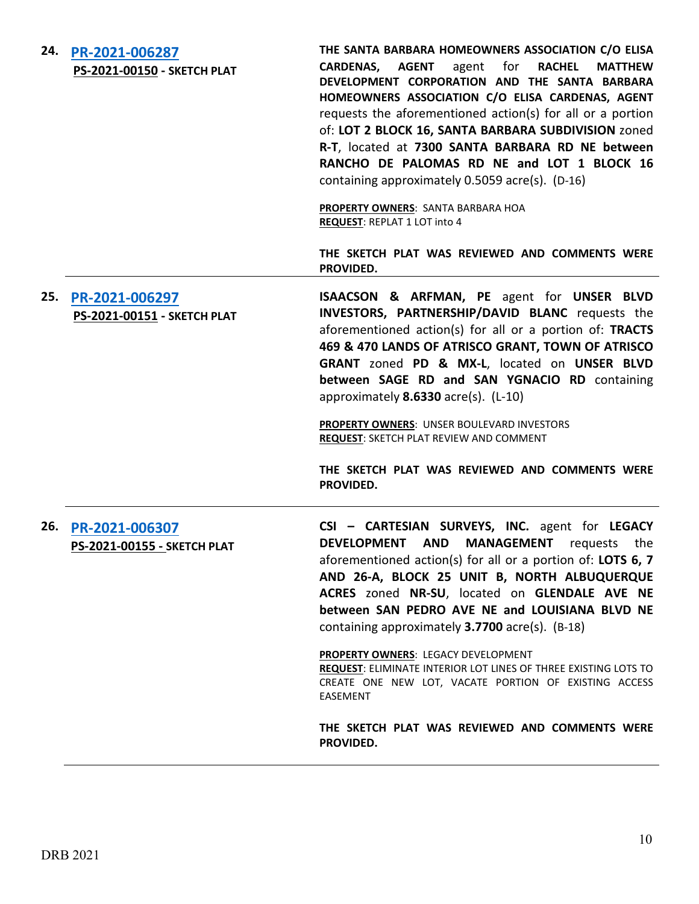| 24. | PR-2021-006287<br>PS-2021-00150 - SKETCH PLAT | THE SANTA BARBARA HOMEOWNERS ASSOCIATION C/O ELISA<br><b>CARDENAS,</b><br>AGENT<br>agent<br>for<br><b>RACHEL</b><br><b>MATTHEW</b><br>DEVELOPMENT CORPORATION AND THE SANTA BARBARA<br>HOMEOWNERS ASSOCIATION C/O ELISA CARDENAS, AGENT<br>requests the aforementioned action(s) for all or a portion<br>of: LOT 2 BLOCK 16, SANTA BARBARA SUBDIVISION zoned<br>R-T, located at 7300 SANTA BARBARA RD NE between<br>RANCHO DE PALOMAS RD NE and LOT 1 BLOCK 16<br>containing approximately 0.5059 acre(s). (D-16)<br><b>PROPERTY OWNERS: SANTA BARBARA HOA</b><br><b>REQUEST: REPLAT 1 LOT into 4</b><br>THE SKETCH PLAT WAS REVIEWED AND COMMENTS WERE |
|-----|-----------------------------------------------|---------------------------------------------------------------------------------------------------------------------------------------------------------------------------------------------------------------------------------------------------------------------------------------------------------------------------------------------------------------------------------------------------------------------------------------------------------------------------------------------------------------------------------------------------------------------------------------------------------------------------------------------------------|
|     |                                               | PROVIDED.                                                                                                                                                                                                                                                                                                                                                                                                                                                                                                                                                                                                                                               |
| 25. | PR-2021-006297<br>PS-2021-00151 - SKETCH PLAT | ISAACSON & ARFMAN, PE agent for UNSER BLVD<br>INVESTORS, PARTNERSHIP/DAVID BLANC requests the<br>aforementioned action(s) for all or a portion of: TRACTS<br>469 & 470 LANDS OF ATRISCO GRANT, TOWN OF ATRISCO<br>GRANT zoned PD & MX-L, located on UNSER BLVD<br>between SAGE RD and SAN YGNACIO RD containing<br>approximately $8.6330$ acre(s). (L-10)                                                                                                                                                                                                                                                                                               |
|     |                                               | PROPERTY OWNERS: UNSER BOULEVARD INVESTORS<br><b>REQUEST: SKETCH PLAT REVIEW AND COMMENT</b>                                                                                                                                                                                                                                                                                                                                                                                                                                                                                                                                                            |
|     |                                               | THE SKETCH PLAT WAS REVIEWED AND COMMENTS WERE<br>PROVIDED.                                                                                                                                                                                                                                                                                                                                                                                                                                                                                                                                                                                             |
| 26. | PR-2021-006307<br>PS-2021-00155 - SKETCH PLAT | CSI - CARTESIAN SURVEYS, INC. agent for LEGACY<br><b>MANAGEMENT</b><br>DEVELOPMENT AND<br>requests<br>the<br>aforementioned action(s) for all or a portion of: LOTS 6, 7<br>AND 26-A, BLOCK 25 UNIT B, NORTH ALBUQUERQUE<br>ACRES zoned NR-SU, located on GLENDALE AVE NE<br>between SAN PEDRO AVE NE and LOUISIANA BLVD NE<br>containing approximately 3.7700 acre(s). (B-18)                                                                                                                                                                                                                                                                          |
|     |                                               | PROPERTY OWNERS: LEGACY DEVELOPMENT<br><b>REQUEST: ELIMINATE INTERIOR LOT LINES OF THREE EXISTING LOTS TO</b><br>CREATE ONE NEW LOT, VACATE PORTION OF EXISTING ACCESS<br><b>EASEMENT</b>                                                                                                                                                                                                                                                                                                                                                                                                                                                               |
|     |                                               | THE SKETCH PLAT WAS REVIEWED AND COMMENTS WERE<br>PROVIDED.                                                                                                                                                                                                                                                                                                                                                                                                                                                                                                                                                                                             |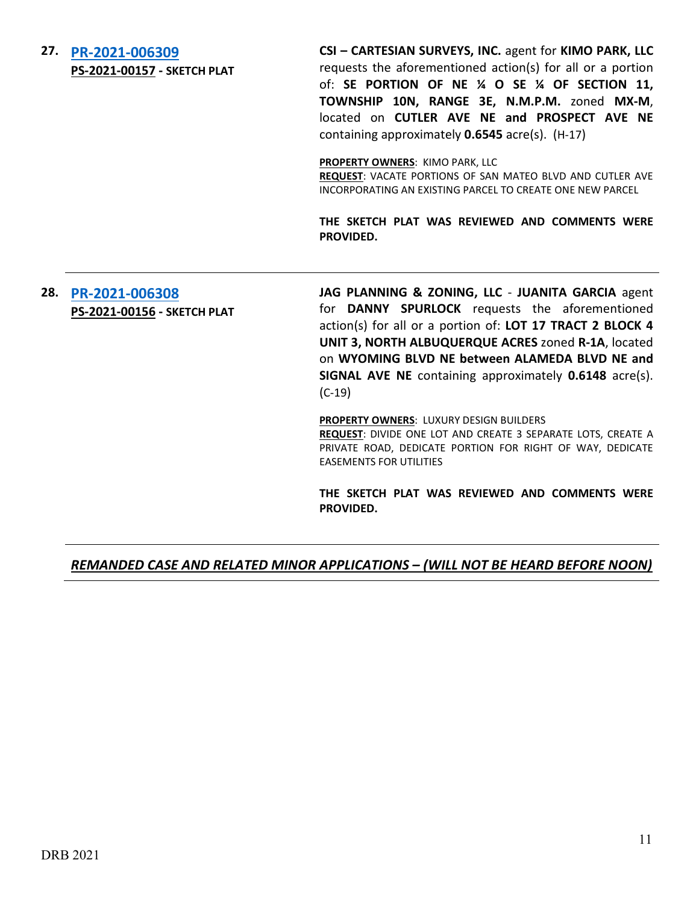**27. [PR-2021-006309](http://data.cabq.gov/government/planning/DRB/PR-2021-006309/DRB%20Submittals/PR-2021-006309%20%20(PS-2021-00157)_Dec_15_2021%20(Sketch)/Application/171561_Sketch_Plat_DRB_App.pdf) PS-2021-00157 - SKETCH PLAT** **CSI – CARTESIAN SURVEYS, INC.** agent for **KIMO PARK, LLC**  requests the aforementioned action(s) for all or a portion of: **SE PORTION OF NE ¼ O SE ¼ OF SECTION 11, TOWNSHIP 10N, RANGE 3E, N.M.P.M.** zoned **MX-M**, located on **CUTLER AVE NE and PROSPECT AVE NE**  containing approximately **0.6545** acre(s). (H-17)

**PROPERTY OWNERS**: KIMO PARK, LLC

**REQUEST**: VACATE PORTIONS OF SAN MATEO BLVD AND CUTLER AVE INCORPORATING AN EXISTING PARCEL TO CREATE ONE NEW PARCEL

**THE SKETCH PLAT WAS REVIEWED AND COMMENTS WERE PROVIDED.**

## **28. [PR-2021-006308](http://data.cabq.gov/government/planning/DRB/PR-2021-006308/PR-2021-006308%20(%20PS-2021-00156)_Dec_15_2021%20(Sketch)/Applicaiton/La%20Cueva%20Views%20Sketch%20Plat%20Application.pdf) PS-2021-00156 - SKETCH PLAT**

**JAG PLANNING & ZONING, LLC** - **JUANITA GARCIA** agent for **DANNY SPURLOCK** requests the aforementioned action(s) for all or a portion of: **LOT 17 TRACT 2 BLOCK 4 UNIT 3, NORTH ALBUQUERQUE ACRES** zoned **R-1A**, located on **WYOMING BLVD NE between ALAMEDA BLVD NE and SIGNAL AVE NE** containing approximately **0.6148** acre(s). (C-19)

**PROPERTY OWNERS**: LUXURY DESIGN BUILDERS **REQUEST**: DIVIDE ONE LOT AND CREATE 3 SEPARATE LOTS, CREATE A PRIVATE ROAD, DEDICATE PORTION FOR RIGHT OF WAY, DEDICATE EASEMENTS FOR UTILITIES

**THE SKETCH PLAT WAS REVIEWED AND COMMENTS WERE PROVIDED.**

## *REMANDED CASE AND RELATED MINOR APPLICATIONS – (WILL NOT BE HEARD BEFORE NOON)*